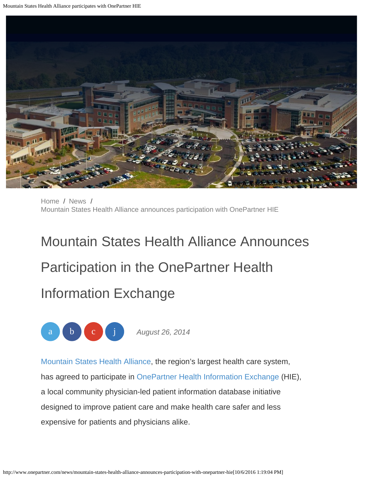<span id="page-0-0"></span>

[Home](http://www.onepartner.com/) / [News](http://www.onepartner.com/news) / [Mountain States Health Alliance announces participation with OnePartner HIE](#page-0-0)

## Mountain States Health Alliance Announces Participation in the OnePartner Health Information Exchange



[Mountain States Health Alliance](http://www.msha.com/), the region's largest health care system, has agreed to participate in [OnePartner Health Information Exchange](http://www.onepartner.com/) (HIE), a local community physician-led patient information database initiative designed to improve patient care and make health care safer and less expensive for patients and physicians alike.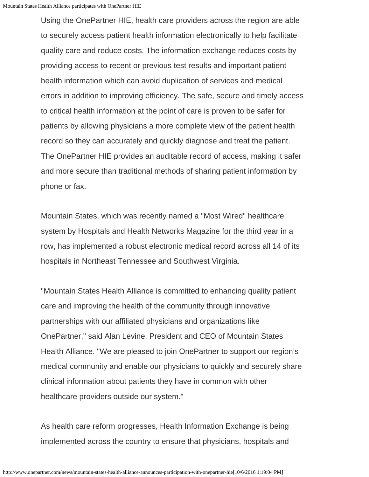Using the OnePartner HIE, health care providers across the region are able to securely access patient health information electronically to help facilitate quality care and reduce costs. The information exchange reduces costs by providing access to recent or previous test results and important patient health information which can avoid duplication of services and medical errors in addition to improving efficiency. The safe, secure and timely access to critical health information at the point of care is proven to be safer for patients by allowing physicians a more complete view of the patient health record so they can accurately and quickly diagnose and treat the patient. The OnePartner HIE provides an auditable record of access, making it safer and more secure than traditional methods of sharing patient information by phone or fax.

Mountain States, which was recently named a "Most Wired" healthcare system by Hospitals and Health Networks Magazine for the third year in a row, has implemented a robust electronic medical record across all 14 of its hospitals in Northeast Tennessee and Southwest Virginia.

"Mountain States Health Alliance is committed to enhancing quality patient care and improving the health of the community through innovative partnerships with our affiliated physicians and organizations like OnePartner," said Alan Levine, President and CEO of Mountain States Health Alliance. "We are pleased to join OnePartner to support our region's medical community and enable our physicians to quickly and securely share clinical information about patients they have in common with other healthcare providers outside our system."

As health care reform progresses, Health Information Exchange is being implemented across the country to ensure that physicians, hospitals and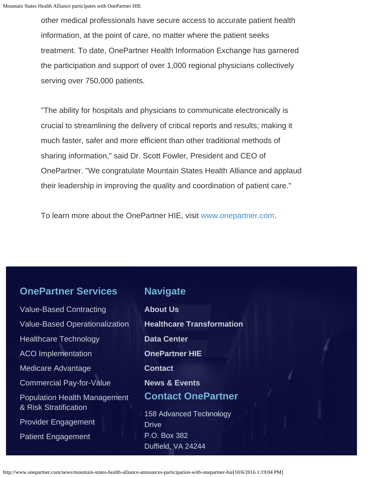other medical professionals have secure access to accurate patient health information, at the point of care, no matter where the patient seeks treatment. To date, OnePartner Health Information Exchange has garnered the participation and support of over 1,000 regional physicians collectively serving over 750,000 patients.

"The ability for hospitals and physicians to communicate electronically is crucial to streamlining the delivery of critical reports and results; making it much faster, safer and more efficient than other traditional methods of sharing information," said Dr. Scott Fowler, President and CEO of OnePartner. "We congratulate Mountain States Health Alliance and applaud their leadership in improving the quality and coordination of patient care."

To learn more about the OnePartner HIE, visit [www.onepartner.com](http://www.onepartner.com/).

**Navigate**

## **OnePartner Services**

[Value-Based Contracting](http://www.onepartner.com/value-based-contracting) [Value-Based Operationalization](http://www.onepartner.com/value-based-contracting) [Healthcare Technology](http://www.onepartner.com/value-based-contracting) [ACO Implementation](http://www.onepartner.com/aco-implementation) [Medicare Advantage](http://www.onepartner.com/medicare-advantage) [Commercial Pay-for-Value](http://www.onepartner.com/news/commercial-pay-for-value) [Population Health Management](http://www.onepartner.com/value-based-operationalization/population-health-management-risk-stratification) [& Risk Stratification](http://www.onepartner.com/value-based-operationalization/population-health-management-risk-stratification) [Provider Engagement](http://www.onepartner.com/provider-engagement) [Patient Engagement](http://www.onepartner.com/patient-engagement/)

**[About Us](http://www.onepartner.com/about) [Healthcare Transformation](http://www.onepartner.com/healthcare-transformation) [Data Center](http://www.onepartner.com/news/data-center) [OnePartner HIE](http://www.onepartner.com/hie) [Contact](http://www.onepartner.com/contact) [News & Events](http://www.onepartner.com/news) Contact OnePartner** 158 Advanced Technology **Drive** P.O. Box 382 Duffield, VA 24244

http://www.onepartner.com/news/mountain-states-health-alliance-announces-participation-with-onepartner-hie[10/6/2016 1:19:04 PM]